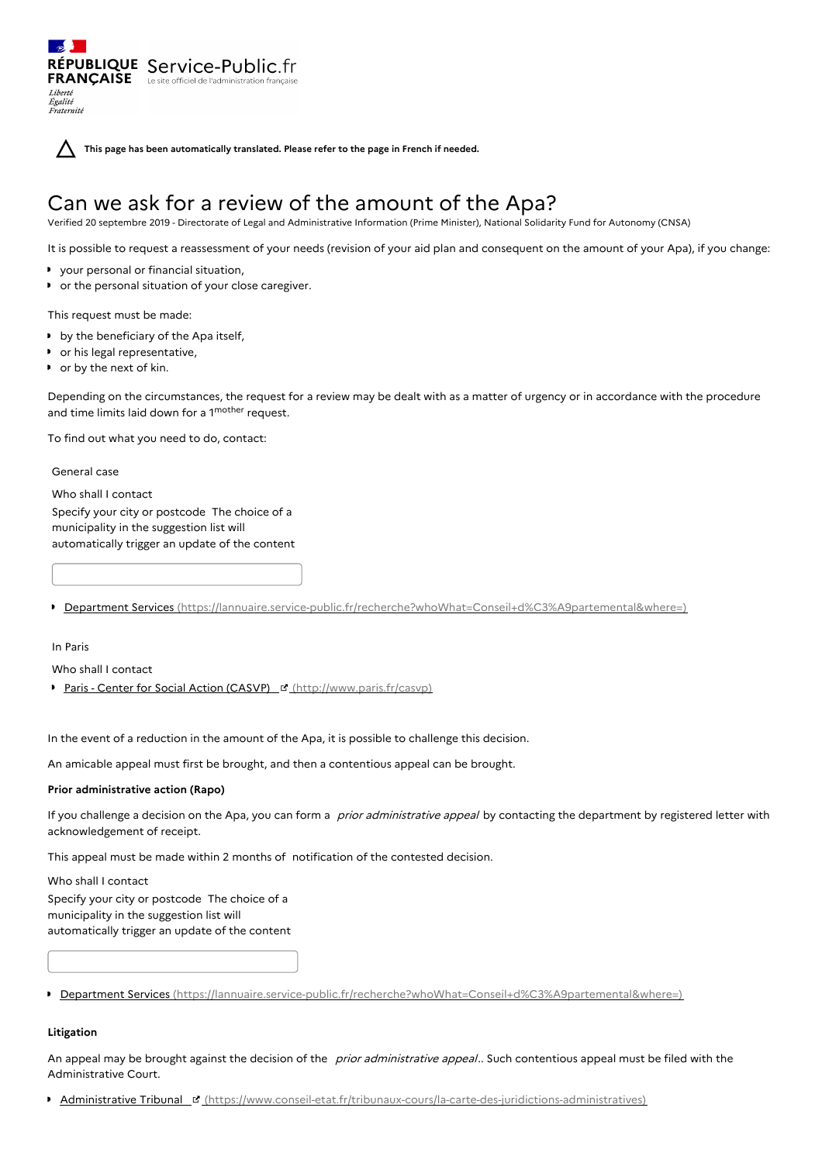RÉPUBLIQUE Service-Public.fr **FRANÇAISE** Le site officiel de l'administration fran Liberté Égalité<br>Fraternité

**This page has been automatically translated. Please refer to the page in French if needed.**

# Can we ask for a review of the amount of the Apa?

Verified 20 septembre 2019 - Directorate of Legal and Administrative Information (Prime Minister), National Solidarity Fund for Autonomy (CNSA)

It is possible to request a reassessment of your needs (revision of your aid plan and consequent on the amount of your Apa), if you change:

- your personal or financial situation,
- or the personal situation of your close caregiver.

This request must be made:

- by the beneficiary of the Apa itself,
- or his legal representative,
- or by the next of kin.

Depending on the circumstances, the request for a review may be dealt with as a matter of urgency or in accordance with the procedure and time limits laid down for a 1<sup>mother</sup> request.

To find out what you need to do, contact:

General case

Who shall I contact Specify your city or postcode The choice of a municipality in the suggestion list will automatically trigger an update of the content

Department Services [\(https://lannuaire.service-public.fr/recherche?whoWhat=Conseil+d%C3%A9partemental&where=\)](https://lannuaire.service-public.fr/recherche?whoWhat=Conseil+d%25C3%25A9partemental&where=)

In Paris

Who shall I contact

Paris - Center for Social Action (CASVP) F [\(http://www.paris.fr/casvp\)](http://www.paris.fr/casvp)

In the event of a reduction in the amount of the Apa, it is possible to challenge this decision.

An amicable appeal must first be brought, and then a contentious appeal can be brought.

#### **Prior administrative action (Rapo)**

If you challenge a decision on the Apa, you can form a prior administrative appeal by contacting the department by registered letter with acknowledgement of receipt.

This appeal must be made within 2 months of notification of the contested decision.

Who shall I contact

Specify your city or postcode The choice of a municipality in the suggestion list will automatically trigger an update of the content

▶ Department Services [\(https://lannuaire.service-public.fr/recherche?whoWhat=Conseil+d%C3%A9partemental&where=\)](https://lannuaire.service-public.fr/recherche?whoWhat=Conseil+d%25C3%25A9partemental&where=)

### **Litigation**

An appeal may be brought against the decision of the prior administrative appeal.. Such contentious appeal must be filed with the Administrative Court.

**Administrative Tribunal La** [\(https://www.conseil-etat.fr/tribunaux-cours/la-carte-des-juridictions-administratives\)](https://www.conseil-etat.fr/tribunaux-cours/la-carte-des-juridictions-administratives)